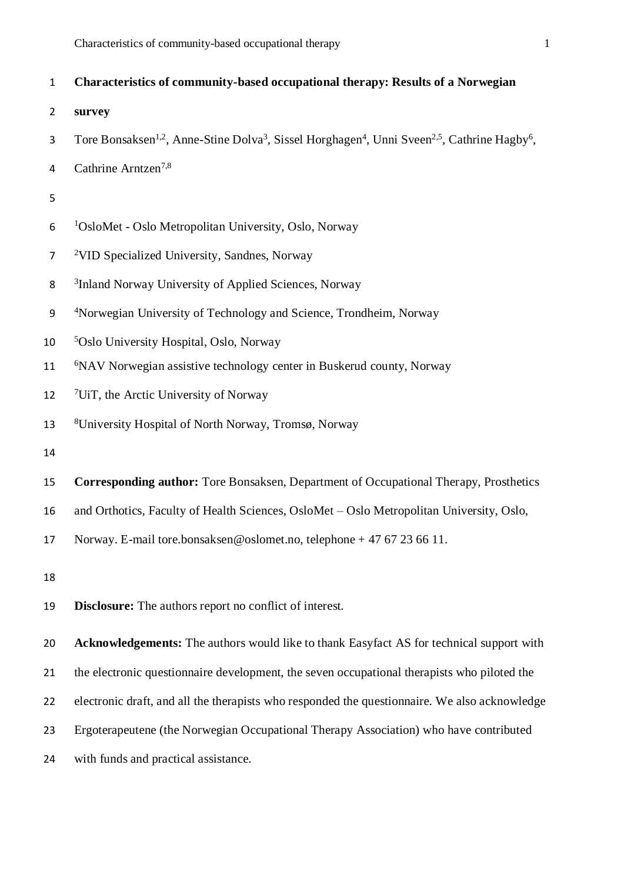| $\mathbf{1}$   | Characteristics of community-based occupational therapy: Results of a Norwegian                                                                           |
|----------------|-----------------------------------------------------------------------------------------------------------------------------------------------------------|
| $\overline{2}$ | survey                                                                                                                                                    |
| 3              | Tore Bonsaksen <sup>1,2</sup> , Anne-Stine Dolva <sup>3</sup> , Sissel Horghagen <sup>4</sup> , Unni Sveen <sup>2,5</sup> , Cathrine Hagby <sup>6</sup> , |
| 4              | Cathrine Arntzen <sup>7,8</sup>                                                                                                                           |
| 5              |                                                                                                                                                           |
| 6              | <sup>1</sup> OsloMet - Oslo Metropolitan University, Oslo, Norway                                                                                         |
| $\overline{7}$ | <sup>2</sup> VID Specialized University, Sandnes, Norway                                                                                                  |
| 8              | <sup>3</sup> Inland Norway University of Applied Sciences, Norway                                                                                         |
| 9              | <sup>4</sup> Norwegian University of Technology and Science, Trondheim, Norway                                                                            |
| 10             | <sup>5</sup> Oslo University Hospital, Oslo, Norway                                                                                                       |
| 11             | <sup>6</sup> NAV Norwegian assistive technology center in Buskerud county, Norway                                                                         |
| 12             | $\frac{7}{1}$ UiT, the Arctic University of Norway                                                                                                        |
| 13             | <sup>8</sup> University Hospital of North Norway, Tromsø, Norway                                                                                          |
| 14             |                                                                                                                                                           |
| 15             | Corresponding author: Tore Bonsaksen, Department of Occupational Therapy, Prosthetics                                                                     |
| 16             | and Orthotics, Faculty of Health Sciences, OsloMet - Oslo Metropolitan University, Oslo,                                                                  |
| 17             | Norway. E-mail tore.bonsaksen@oslomet.no, telephone + 47 67 23 66 11.                                                                                     |
| 18             |                                                                                                                                                           |
| 19             | <b>Disclosure:</b> The authors report no conflict of interest.                                                                                            |
| 20             | Acknowledgements: The authors would like to thank Easyfact AS for technical support with                                                                  |
| 21             | the electronic questionnaire development, the seven occupational therapists who piloted the                                                               |
| 22             | electronic draft, and all the therapists who responded the questionnaire. We also acknowledge                                                             |
| 23             | Ergoterapeutene (the Norwegian Occupational Therapy Association) who have contributed                                                                     |
| 24             | with funds and practical assistance.                                                                                                                      |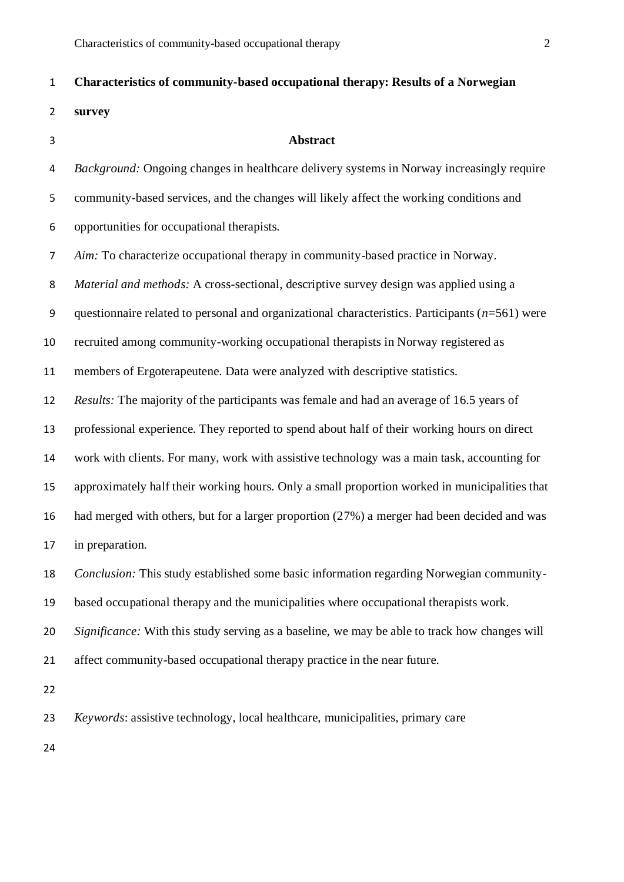### **Characteristics of community-based occupational therapy: Results of a Norwegian**

**survey**

#### **Abstract**

 *Background:* Ongoing changes in healthcare delivery systems in Norway increasingly require community-based services, and the changes will likely affect the working conditions and opportunities for occupational therapists. *Aim:* To characterize occupational therapy in community-based practice in Norway.

*Material and methods:* A cross-sectional, descriptive survey design was applied using a

questionnaire related to personal and organizational characteristics. Participants (*n*=561) were

recruited among community-working occupational therapists in Norway registered as

members of Ergoterapeutene. Data were analyzed with descriptive statistics.

*Results:* The majority of the participants was female and had an average of 16.5 years of

professional experience. They reported to spend about half of their working hours on direct

work with clients. For many, work with assistive technology was a main task, accounting for

approximately half their working hours. Only a small proportion worked in municipalities that

had merged with others, but for a larger proportion (27%) a merger had been decided and was

in preparation.

*Conclusion:* This study established some basic information regarding Norwegian community-

based occupational therapy and the municipalities where occupational therapists work.

*Significance:* With this study serving as a baseline, we may be able to track how changes will

affect community-based occupational therapy practice in the near future.

*Keywords*: assistive technology, local healthcare, municipalities, primary care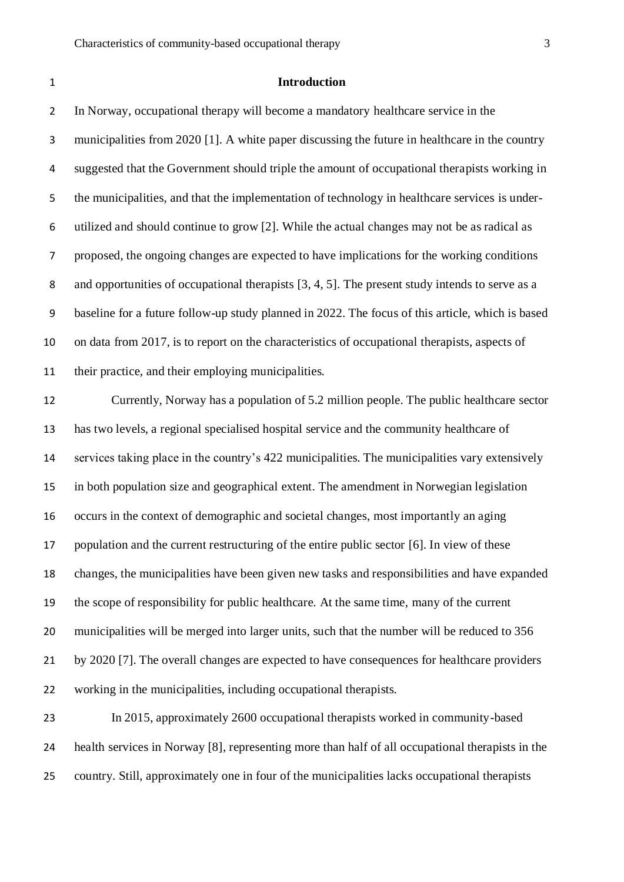#### **Introduction**

 In Norway, occupational therapy will become a mandatory healthcare service in the municipalities from 2020 [1]. A white paper discussing the future in healthcare in the country suggested that the Government should triple the amount of occupational therapists working in the municipalities, and that the implementation of technology in healthcare services is under- utilized and should continue to grow [2]. While the actual changes may not be as radical as proposed, the ongoing changes are expected to have implications for the working conditions and opportunities of occupational therapists [3, 4, 5]. The present study intends to serve as a baseline for a future follow-up study planned in 2022. The focus of this article, which is based on data from 2017, is to report on the characteristics of occupational therapists, aspects of their practice, and their employing municipalities.

 Currently, Norway has a population of 5.2 million people. The public healthcare sector has two levels, a regional specialised hospital service and the community healthcare of services taking place in the country's 422 municipalities. The municipalities vary extensively in both population size and geographical extent. The amendment in Norwegian legislation occurs in the context of demographic and societal changes, most importantly an aging population and the current restructuring of the entire public sector [6]. In view of these changes, the municipalities have been given new tasks and responsibilities and have expanded the scope of responsibility for public healthcare. At the same time, many of the current municipalities will be merged into larger units, such that the number will be reduced to 356 by 2020 [7]. The overall changes are expected to have consequences for healthcare providers working in the municipalities, including occupational therapists.

 In 2015, approximately 2600 occupational therapists worked in community-based health services in Norway [8], representing more than half of all occupational therapists in the country. Still, approximately one in four of the municipalities lacks occupational therapists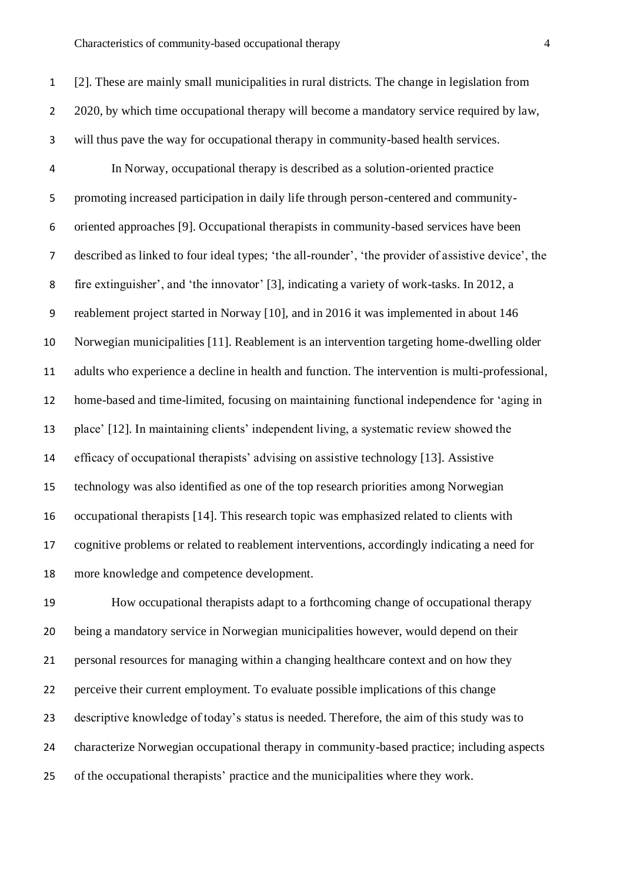[2]. These are mainly small municipalities in rural districts. The change in legislation from 2 2020, by which time occupational therapy will become a mandatory service required by law, will thus pave the way for occupational therapy in community-based health services. In Norway, occupational therapy is described as a solution-oriented practice promoting increased participation in daily life through person-centered and community- oriented approaches [9]. Occupational therapists in community-based services have been described as linked to four ideal types; 'the all-rounder', 'the provider of assistive device', the fire extinguisher', and 'the innovator' [3], indicating a variety of work-tasks. In 2012, a reablement project started in Norway [10], and in 2016 it was implemented in about 146 Norwegian municipalities [11]. Reablement is an intervention targeting home-dwelling older adults who experience a decline in health and function. The intervention is multi-professional, home-based and time-limited, focusing on maintaining functional independence for 'aging in place' [12]. In maintaining clients' independent living, a systematic review showed the efficacy of occupational therapists' advising on assistive technology [13]. Assistive technology was also identified as one of the top research priorities among Norwegian occupational therapists [14]. This research topic was emphasized related to clients with cognitive problems or related to reablement interventions, accordingly indicating a need for more knowledge and competence development.

 How occupational therapists adapt to a forthcoming change of occupational therapy being a mandatory service in Norwegian municipalities however, would depend on their personal resources for managing within a changing healthcare context and on how they perceive their current employment. To evaluate possible implications of this change descriptive knowledge of today's status is needed. Therefore, the aim of this study was to characterize Norwegian occupational therapy in community-based practice; including aspects of the occupational therapists' practice and the municipalities where they work.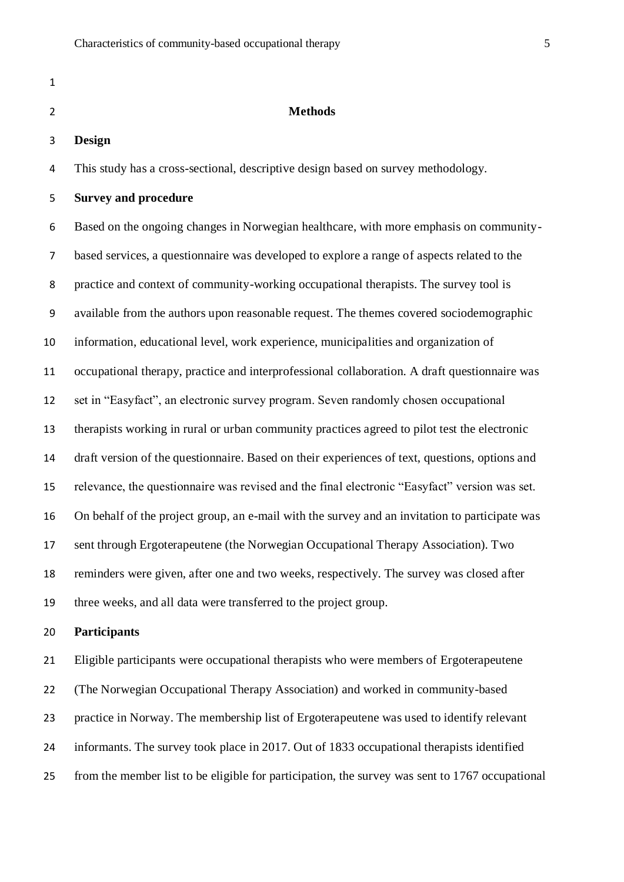| 1              |                                                                                               |
|----------------|-----------------------------------------------------------------------------------------------|
| $\overline{2}$ | <b>Methods</b>                                                                                |
| 3              | <b>Design</b>                                                                                 |
| 4              | This study has a cross-sectional, descriptive design based on survey methodology.             |
| 5              | <b>Survey and procedure</b>                                                                   |
| 6              | Based on the ongoing changes in Norwegian healthcare, with more emphasis on community-        |
| 7              | based services, a questionnaire was developed to explore a range of aspects related to the    |
| 8              | practice and context of community-working occupational therapists. The survey tool is         |
| 9              | available from the authors upon reasonable request. The themes covered sociodemographic       |
| 10             | information, educational level, work experience, municipalities and organization of           |
| 11             | occupational therapy, practice and interprofessional collaboration. A draft questionnaire was |
| 12             | set in "Easyfact", an electronic survey program. Seven randomly chosen occupational           |
| 13             | therapists working in rural or urban community practices agreed to pilot test the electronic  |
|                |                                                                                               |

draft version of the questionnaire. Based on their experiences of text, questions, options and

relevance, the questionnaire was revised and the final electronic "Easyfact" version was set.

On behalf of the project group, an e-mail with the survey and an invitation to participate was

sent through Ergoterapeutene (the Norwegian Occupational Therapy Association). Two

reminders were given, after one and two weeks, respectively. The survey was closed after

three weeks, and all data were transferred to the project group.

#### **Participants**

 Eligible participants were occupational therapists who were members of Ergoterapeutene (The Norwegian Occupational Therapy Association) and worked in community-based practice in Norway. The membership list of Ergoterapeutene was used to identify relevant informants. The survey took place in 2017. Out of 1833 occupational therapists identified from the member list to be eligible for participation, the survey was sent to 1767 occupational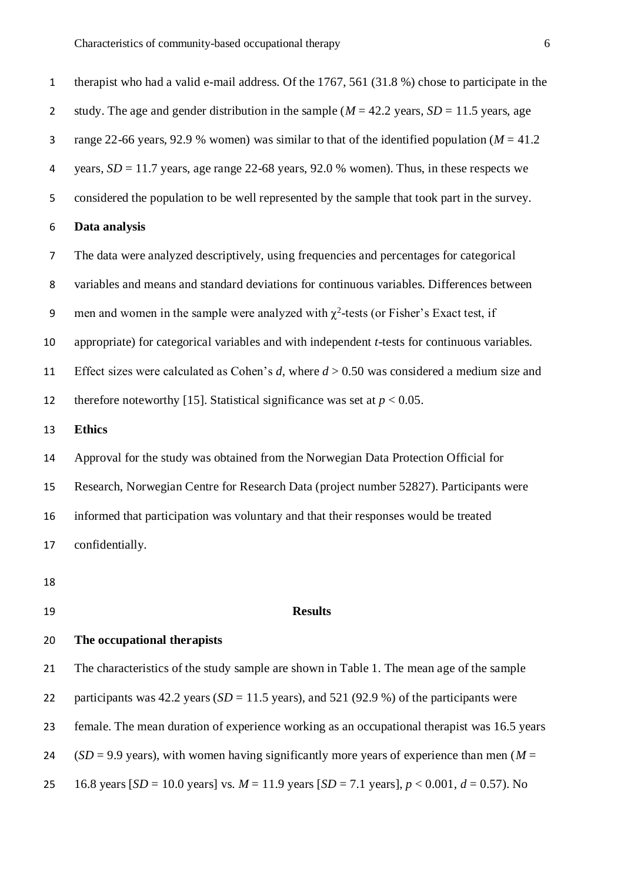| study. The age and gender distribution in the sample ( $M = 42.2$ years, $SD = 11.5$ years, age<br>range 22-66 years, 92.9 % women) was similar to that of the identified population ( $M = 41.2$<br>years, $SD = 11.7$ years, age range 22-68 years, 92.0 % women). Thus, in these respects we |
|-------------------------------------------------------------------------------------------------------------------------------------------------------------------------------------------------------------------------------------------------------------------------------------------------|
|                                                                                                                                                                                                                                                                                                 |
|                                                                                                                                                                                                                                                                                                 |
|                                                                                                                                                                                                                                                                                                 |
| considered the population to be well represented by the sample that took part in the survey.                                                                                                                                                                                                    |
|                                                                                                                                                                                                                                                                                                 |
| The data were analyzed descriptively, using frequencies and percentages for categorical                                                                                                                                                                                                         |
| variables and means and standard deviations for continuous variables. Differences between                                                                                                                                                                                                       |
|                                                                                                                                                                                                                                                                                                 |
| appropriate) for categorical variables and with independent t-tests for continuous variables.                                                                                                                                                                                                   |
| Effect sizes were calculated as Cohen's d, where $d > 0.50$ was considered a medium size and                                                                                                                                                                                                    |
|                                                                                                                                                                                                                                                                                                 |
|                                                                                                                                                                                                                                                                                                 |
| Approval for the study was obtained from the Norwegian Data Protection Official for                                                                                                                                                                                                             |
| Research, Norwegian Centre for Research Data (project number 52827). Participants were                                                                                                                                                                                                          |
|                                                                                                                                                                                                                                                                                                 |
|                                                                                                                                                                                                                                                                                                 |
|                                                                                                                                                                                                                                                                                                 |
|                                                                                                                                                                                                                                                                                                 |
|                                                                                                                                                                                                                                                                                                 |
| The characteristics of the study sample are shown in Table 1. The mean age of the sample                                                                                                                                                                                                        |
| participants was 42.2 years ( $SD = 11.5$ years), and 521 (92.9 %) of the participants were                                                                                                                                                                                                     |
| men and women in the sample were analyzed with $\chi^2$ -tests (or Fisher's Exact test, if                                                                                                                                                                                                      |

female. The mean duration of experience working as an occupational therapist was 16.5 years

24 (*SD* = 9.9 years), with women having significantly more years of experience than men ( $M =$ 

16.8 years [*SD* = 10.0 years] vs. *M* = 11.9 years [*SD* = 7.1 years], *p* < 0.001, *d* = 0.57). No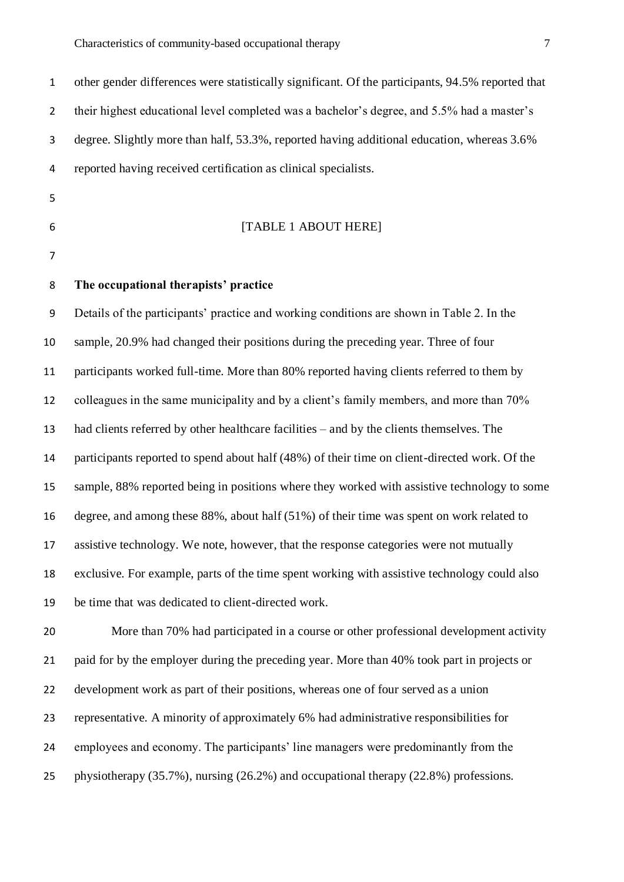other gender differences were statistically significant. Of the participants, 94.5% reported that 2 their highest educational level completed was a bachelor's degree, and 5.5% had a master's degree. Slightly more than half, 53.3%, reported having additional education, whereas 3.6% reported having received certification as clinical specialists. 

#### [TABLE 1 ABOUT HERE]

**The occupational therapists' practice**

 Details of the participants' practice and working conditions are shown in Table 2. In the sample, 20.9% had changed their positions during the preceding year. Three of four participants worked full-time. More than 80% reported having clients referred to them by colleagues in the same municipality and by a client's family members, and more than 70% had clients referred by other healthcare facilities – and by the clients themselves. The participants reported to spend about half (48%) of their time on client-directed work. Of the sample, 88% reported being in positions where they worked with assistive technology to some degree, and among these 88%, about half (51%) of their time was spent on work related to assistive technology. We note, however, that the response categories were not mutually exclusive. For example, parts of the time spent working with assistive technology could also be time that was dedicated to client-directed work.

 More than 70% had participated in a course or other professional development activity 21 paid for by the employer during the preceding year. More than 40% took part in projects or development work as part of their positions, whereas one of four served as a union representative. A minority of approximately 6% had administrative responsibilities for employees and economy. The participants' line managers were predominantly from the physiotherapy (35.7%), nursing (26.2%) and occupational therapy (22.8%) professions.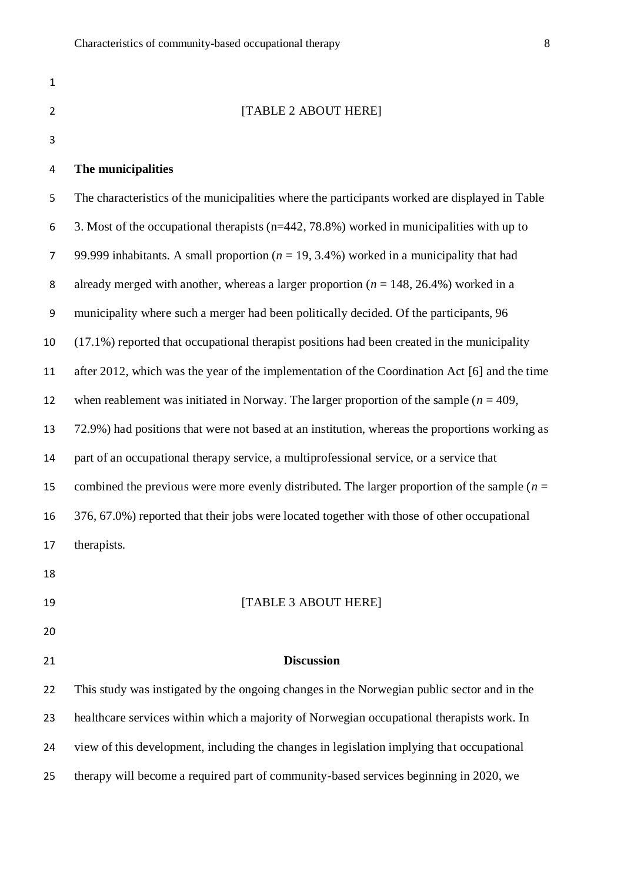| $\mathbf{1}$   |                                                                                                |
|----------------|------------------------------------------------------------------------------------------------|
| $\overline{2}$ | [TABLE 2 ABOUT HERE]                                                                           |
| 3              |                                                                                                |
| 4              | The municipalities                                                                             |
| 5              | The characteristics of the municipalities where the participants worked are displayed in Table |
| 6              | 3. Most of the occupational therapists ( $n=442$ , 78.8%) worked in municipalities with up to  |
| $\overline{7}$ | 99.999 inhabitants. A small proportion ( $n = 19, 3.4\%$ ) worked in a municipality that had   |
| 8              | already merged with another, whereas a larger proportion ( $n = 148, 26.4\%$ ) worked in a     |
| 9              | municipality where such a merger had been politically decided. Of the participants, 96         |
| 10             | (17.1%) reported that occupational therapist positions had been created in the municipality    |
| 11             | after 2012, which was the year of the implementation of the Coordination Act [6] and the time  |
| 12             | when reablement was initiated in Norway. The larger proportion of the sample ( $n = 409$ ,     |
| 13             | 72.9%) had positions that were not based at an institution, whereas the proportions working as |
| 14             | part of an occupational therapy service, a multiprofessional service, or a service that        |
| 15             | combined the previous were more evenly distributed. The larger proportion of the sample $(n =$ |
| 16             | 376, 67.0%) reported that their jobs were located together with those of other occupational    |
| 17             | therapists.                                                                                    |
| 18             |                                                                                                |
| 19             | [TABLE 3 ABOUT HERE]                                                                           |
| 20             |                                                                                                |
| 21             | <b>Discussion</b>                                                                              |
| 22             | This study was instigated by the ongoing changes in the Norwegian public sector and in the     |
| 23             | healthcare services within which a majority of Norwegian occupational therapists work. In      |
| 24             | view of this development, including the changes in legislation implying that occupational      |
| 25             | therapy will become a required part of community-based services beginning in 2020, we          |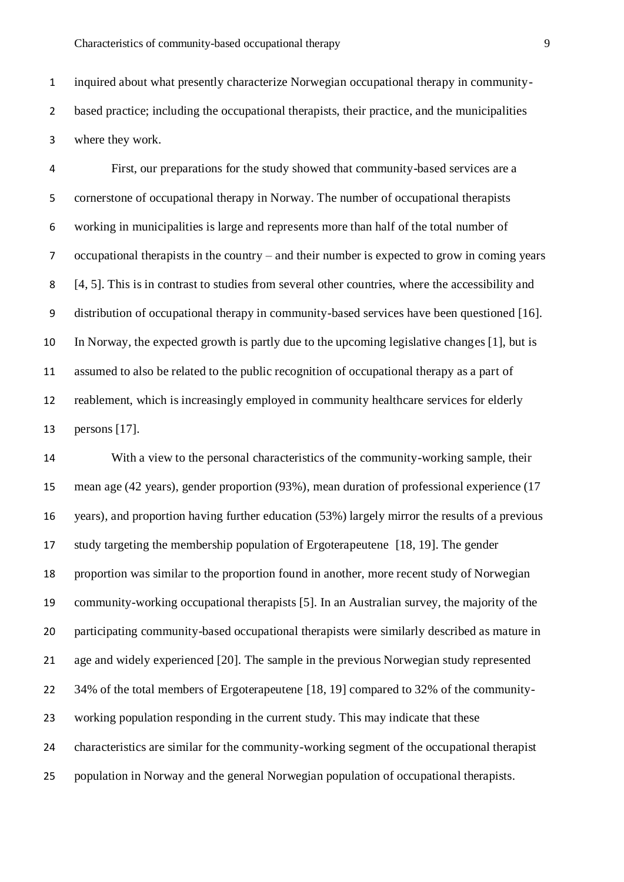inquired about what presently characterize Norwegian occupational therapy in community- based practice; including the occupational therapists, their practice, and the municipalities where they work.

 First, our preparations for the study showed that community-based services are a cornerstone of occupational therapy in Norway. The number of occupational therapists working in municipalities is large and represents more than half of the total number of occupational therapists in the country – and their number is expected to grow in coming years [4, 5]. This is in contrast to studies from several other countries, where the accessibility and distribution of occupational therapy in community-based services have been questioned [16]. In Norway, the expected growth is partly due to the upcoming legislative changes [1], but is assumed to also be related to the public recognition of occupational therapy as a part of reablement, which is increasingly employed in community healthcare services for elderly persons [17].

 With a view to the personal characteristics of the community-working sample, their mean age (42 years), gender proportion (93%), mean duration of professional experience (17 years), and proportion having further education (53%) largely mirror the results of a previous study targeting the membership population of Ergoterapeutene [18, 19]. The gender proportion was similar to the proportion found in another, more recent study of Norwegian community-working occupational therapists [5]. In an Australian survey, the majority of the participating community-based occupational therapists were similarly described as mature in age and widely experienced [20]. The sample in the previous Norwegian study represented 34% of the total members of Ergoterapeutene [18, 19] compared to 32% of the community- working population responding in the current study. This may indicate that these characteristics are similar for the community-working segment of the occupational therapist population in Norway and the general Norwegian population of occupational therapists.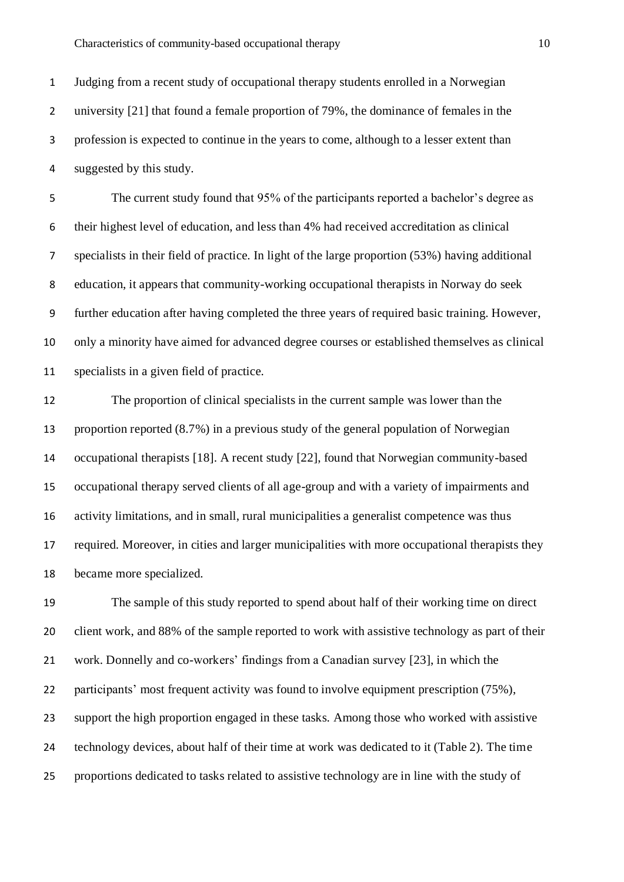Judging from a recent study of occupational therapy students enrolled in a Norwegian 2 university [21] that found a female proportion of 79%, the dominance of females in the profession is expected to continue in the years to come, although to a lesser extent than suggested by this study.

 The current study found that 95% of the participants reported a bachelor's degree as their highest level of education, and less than 4% had received accreditation as clinical specialists in their field of practice. In light of the large proportion (53%) having additional education, it appears that community-working occupational therapists in Norway do seek further education after having completed the three years of required basic training. However, only a minority have aimed for advanced degree courses or established themselves as clinical specialists in a given field of practice.

 The proportion of clinical specialists in the current sample was lower than the proportion reported (8.7%) in a previous study of the general population of Norwegian occupational therapists [18]. A recent study [22], found that Norwegian community-based occupational therapy served clients of all age-group and with a variety of impairments and activity limitations, and in small, rural municipalities a generalist competence was thus required. Moreover, in cities and larger municipalities with more occupational therapists they became more specialized.

 The sample of this study reported to spend about half of their working time on direct client work, and 88% of the sample reported to work with assistive technology as part of their work. Donnelly and co-workers' findings from a Canadian survey [23], in which the participants' most frequent activity was found to involve equipment prescription (75%), support the high proportion engaged in these tasks. Among those who worked with assistive technology devices, about half of their time at work was dedicated to it (Table 2). The time proportions dedicated to tasks related to assistive technology are in line with the study of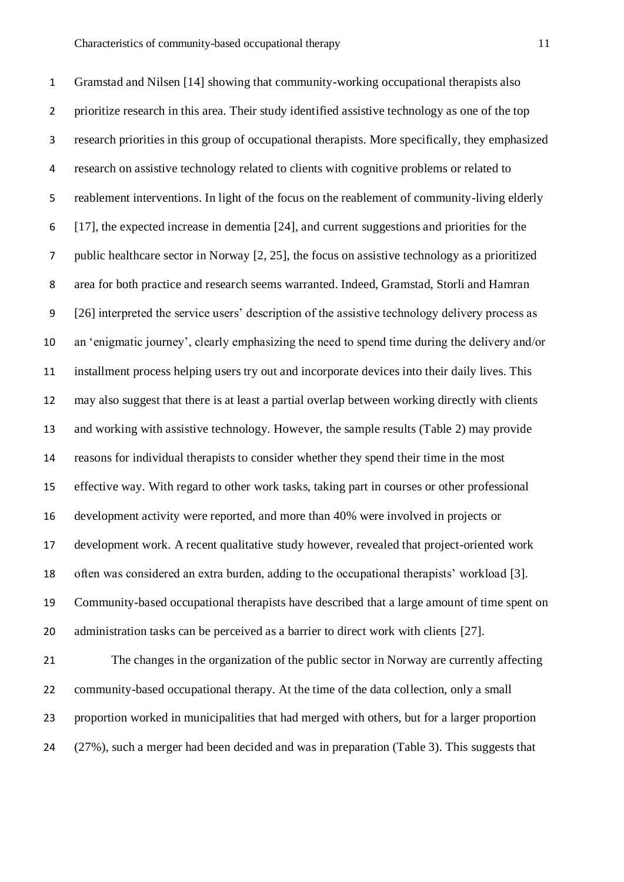Gramstad and Nilsen [14] showing that community-working occupational therapists also prioritize research in this area. Their study identified assistive technology as one of the top research priorities in this group of occupational therapists. More specifically, they emphasized research on assistive technology related to clients with cognitive problems or related to reablement interventions. In light of the focus on the reablement of community-living elderly [17], the expected increase in dementia [24], and current suggestions and priorities for the public healthcare sector in Norway [2, 25], the focus on assistive technology as a prioritized area for both practice and research seems warranted. Indeed, Gramstad, Storli and Hamran [26] interpreted the service users' description of the assistive technology delivery process as an 'enigmatic journey', clearly emphasizing the need to spend time during the delivery and/or installment process helping users try out and incorporate devices into their daily lives. This may also suggest that there is at least a partial overlap between working directly with clients and working with assistive technology. However, the sample results (Table 2) may provide reasons for individual therapists to consider whether they spend their time in the most effective way. With regard to other work tasks, taking part in courses or other professional development activity were reported, and more than 40% were involved in projects or development work. A recent qualitative study however, revealed that project-oriented work often was considered an extra burden, adding to the occupational therapists' workload [3]. Community-based occupational therapists have described that a large amount of time spent on administration tasks can be perceived as a barrier to direct work with clients [27].

 The changes in the organization of the public sector in Norway are currently affecting 22 community-based occupational therapy. At the time of the data collection, only a small proportion worked in municipalities that had merged with others, but for a larger proportion (27%), such a merger had been decided and was in preparation (Table 3). This suggests that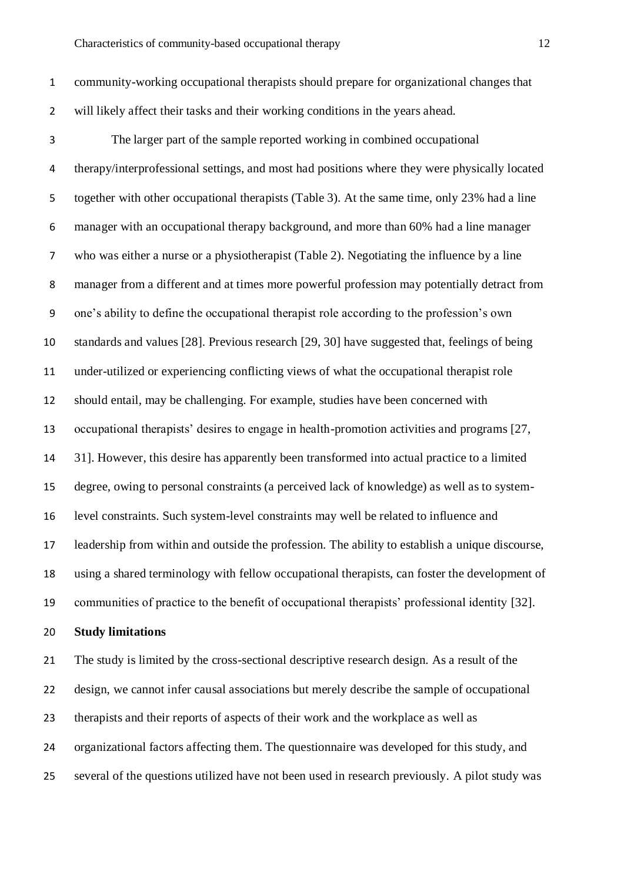community-working occupational therapists should prepare for organizational changes that will likely affect their tasks and their working conditions in the years ahead.

- The larger part of the sample reported working in combined occupational therapy/interprofessional settings, and most had positions where they were physically located together with other occupational therapists (Table 3). At the same time, only 23% had a line manager with an occupational therapy background, and more than 60% had a line manager who was either a nurse or a physiotherapist (Table 2). Negotiating the influence by a line manager from a different and at times more powerful profession may potentially detract from one's ability to define the occupational therapist role according to the profession's own standards and values [28]. Previous research [29, 30] have suggested that, feelings of being under-utilized or experiencing conflicting views of what the occupational therapist role should entail, may be challenging. For example, studies have been concerned with occupational therapists' desires to engage in health-promotion activities and programs [27, 31]. However, this desire has apparently been transformed into actual practice to a limited degree, owing to personal constraints (a perceived lack of knowledge) as well as to system- level constraints. Such system-level constraints may well be related to influence and leadership from within and outside the profession. The ability to establish a unique discourse, using a shared terminology with fellow occupational therapists, can foster the development of communities of practice to the benefit of occupational therapists' professional identity [32].
- **Study limitations**

 The study is limited by the cross-sectional descriptive research design. As a result of the design, we cannot infer causal associations but merely describe the sample of occupational therapists and their reports of aspects of their work and the workplace as well as organizational factors affecting them. The questionnaire was developed for this study, and several of the questions utilized have not been used in research previously. A pilot study was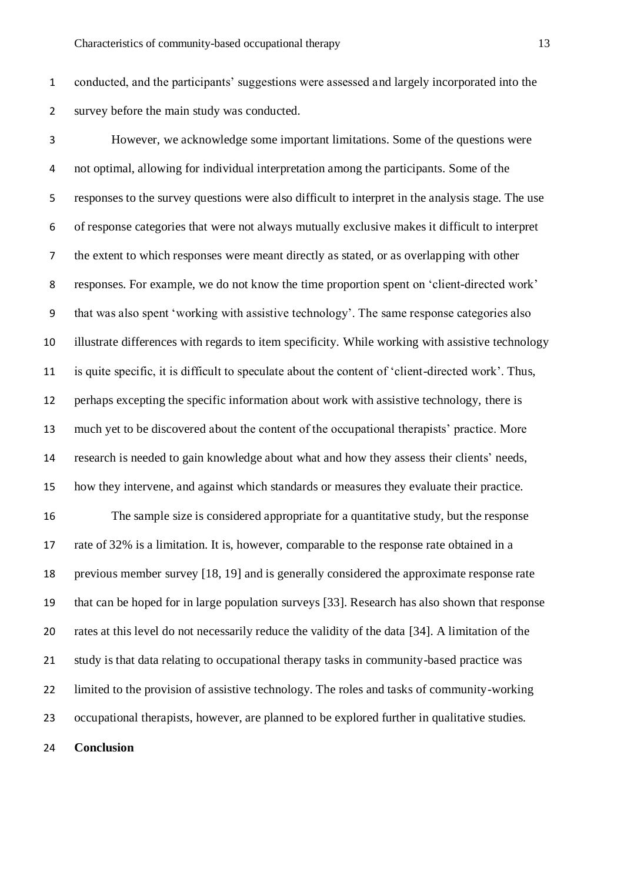conducted, and the participants' suggestions were assessed and largely incorporated into the survey before the main study was conducted.

 However, we acknowledge some important limitations. Some of the questions were not optimal, allowing for individual interpretation among the participants. Some of the responses to the survey questions were also difficult to interpret in the analysis stage. The use of response categories that were not always mutually exclusive makes it difficult to interpret the extent to which responses were meant directly as stated, or as overlapping with other responses. For example, we do not know the time proportion spent on 'client-directed work' that was also spent 'working with assistive technology'. The same response categories also illustrate differences with regards to item specificity. While working with assistive technology is quite specific, it is difficult to speculate about the content of 'client-directed work'. Thus, perhaps excepting the specific information about work with assistive technology, there is much yet to be discovered about the content of the occupational therapists' practice. More research is needed to gain knowledge about what and how they assess their clients' needs, how they intervene, and against which standards or measures they evaluate their practice. The sample size is considered appropriate for a quantitative study, but the response rate of 32% is a limitation. It is, however, comparable to the response rate obtained in a previous member survey [18, 19] and is generally considered the approximate response rate

 that can be hoped for in large population surveys [33]. Research has also shown that response rates at this level do not necessarily reduce the validity of the data [34]. A limitation of the study is that data relating to occupational therapy tasks in community-based practice was limited to the provision of assistive technology. The roles and tasks of community-working occupational therapists, however, are planned to be explored further in qualitative studies.

**Conclusion**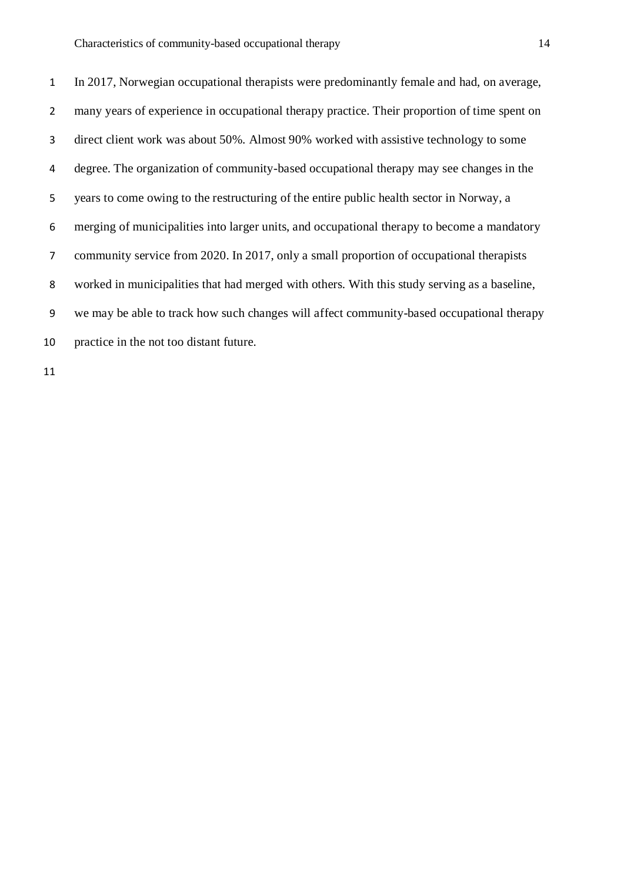In 2017, Norwegian occupational therapists were predominantly female and had, on average, many years of experience in occupational therapy practice. Their proportion of time spent on direct client work was about 50%. Almost 90% worked with assistive technology to some degree. The organization of community-based occupational therapy may see changes in the years to come owing to the restructuring of the entire public health sector in Norway, a merging of municipalities into larger units, and occupational therapy to become a mandatory community service from 2020. In 2017, only a small proportion of occupational therapists worked in municipalities that had merged with others. With this study serving as a baseline, we may be able to track how such changes will affect community-based occupational therapy practice in the not too distant future.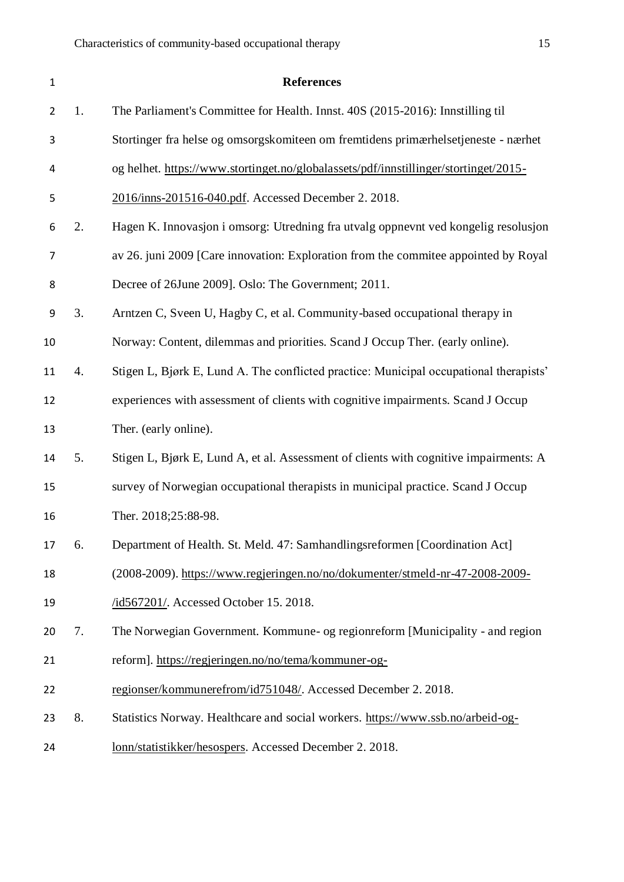| $\mathbf{1}$ |    | <b>References</b>                                                                      |
|--------------|----|----------------------------------------------------------------------------------------|
| 2            | 1. | The Parliament's Committee for Health. Innst. 40S (2015-2016): Innstilling til         |
| 3            |    | Stortinger fra helse og omsorgskomiteen om fremtidens primærhelsetjeneste - nærhet     |
| 4            |    | og helhet. https://www.stortinget.no/globalassets/pdf/innstillinger/stortinget/2015-   |
| 5            |    | 2016/inns-201516-040.pdf. Accessed December 2. 2018.                                   |
| 6            | 2. | Hagen K. Innovasjon i omsorg: Utredning fra utvalg oppnevnt ved kongelig resolusjon    |
| 7            |    | av 26. juni 2009 [Care innovation: Exploration from the commitee appointed by Royal    |
| 8            |    | Decree of 26June 2009]. Oslo: The Government; 2011.                                    |
| 9            | 3. | Arntzen C, Sveen U, Hagby C, et al. Community-based occupational therapy in            |
| 10           |    | Norway: Content, dilemmas and priorities. Scand J Occup Ther. (early online).          |
| 11           | 4. | Stigen L, Bjørk E, Lund A. The conflicted practice: Municipal occupational therapists' |
| 12           |    | experiences with assessment of clients with cognitive impairments. Scand J Occup       |
| 13           |    | Ther. (early online).                                                                  |
| 14           | 5. | Stigen L, Bjørk E, Lund A, et al. Assessment of clients with cognitive impairments: A  |
| 15           |    | survey of Norwegian occupational therapists in municipal practice. Scand J Occup       |
| 16           |    | Ther. 2018;25:88-98.                                                                   |
| 17           | 6. | Department of Health. St. Meld. 47: Samhandlingsreformen [Coordination Act]            |
| 18           |    | (2008-2009). https://www.regjeringen.no/no/dokumenter/stmeld-nr-47-2008-2009-          |
| 19           |    | /id567201/. Accessed October 15. 2018.                                                 |
| 20           | 7. | The Norwegian Government. Kommune- og regionreform [Municipality - and region          |
| 21           |    | reform]. https://regjeringen.no/no/tema/kommuner-og-                                   |
| 22           |    | regionser/kommunerefrom/id751048/. Accessed December 2. 2018.                          |
| 23           | 8. | Statistics Norway. Healthcare and social workers. https://www.ssb.no/arbeid-og-        |
| 24           |    | lonn/statistikker/hesospers. Accessed December 2. 2018.                                |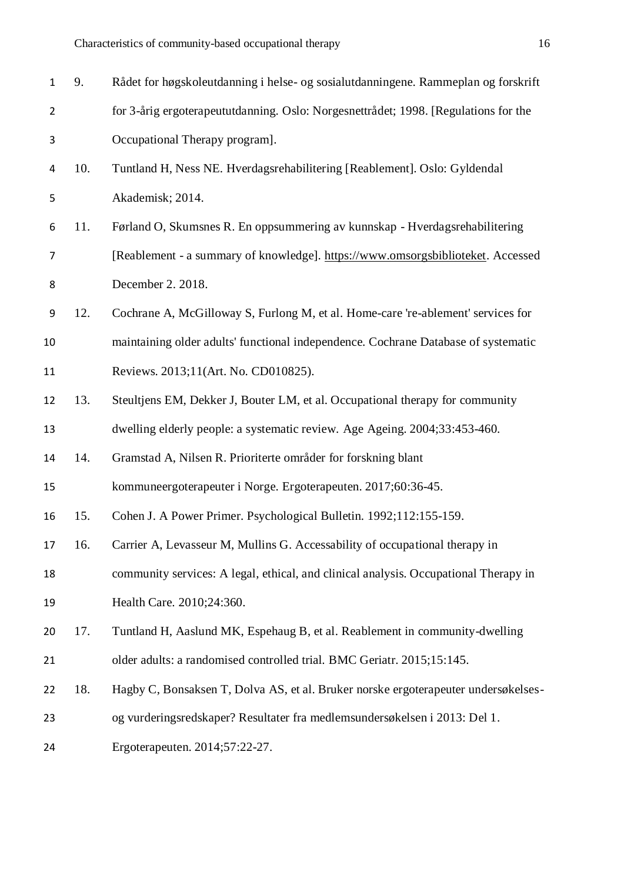| $\mathbf{1}$   | 9.  | Rådet for høgskoleutdanning i helse- og sosialutdanningene. Rammeplan og forskrift   |
|----------------|-----|--------------------------------------------------------------------------------------|
| $\overline{2}$ |     | for 3-årig ergoterapeututdanning. Oslo: Norgesnettrådet; 1998. [Regulations for the  |
| 3              |     | Occupational Therapy program].                                                       |
| 4              | 10. | Tuntland H, Ness NE. Hverdagsrehabilitering [Reablement]. Oslo: Gyldendal            |
| 5              |     | Akademisk; 2014.                                                                     |
| 6              | 11. | Førland O, Skumsnes R. En oppsummering av kunnskap - Hverdagsrehabilitering          |
| 7              |     | [Reablement - a summary of knowledge]. https://www.omsorgsbiblioteket. Accessed      |
| 8              |     | December 2. 2018.                                                                    |
| 9              | 12. | Cochrane A, McGilloway S, Furlong M, et al. Home-care 're-ablement' services for     |
| 10             |     | maintaining older adults' functional independence. Cochrane Database of systematic   |
| 11             |     | Reviews. 2013;11(Art. No. CD010825).                                                 |
| 12             | 13. | Steultjens EM, Dekker J, Bouter LM, et al. Occupational therapy for community        |
| 13             |     | dwelling elderly people: a systematic review. Age Ageing. 2004;33:453-460.           |
| 14             | 14. | Gramstad A, Nilsen R. Prioriterte områder for forskning blant                        |
| 15             |     | kommuneergoterapeuter i Norge. Ergoterapeuten. 2017;60:36-45.                        |
| 16             | 15. | Cohen J. A Power Primer. Psychological Bulletin. 1992;112:155-159.                   |
| 17             | 16. | Carrier A, Levasseur M, Mullins G. Accessability of occupational therapy in          |
| 18             |     | community services: A legal, ethical, and clinical analysis. Occupational Therapy in |
| 19             |     | Health Care. 2010;24:360.                                                            |
| 20             | 17. | Tuntland H, Aaslund MK, Espehaug B, et al. Reablement in community-dwelling          |
| 21             |     | older adults: a randomised controlled trial. BMC Geriatr. 2015;15:145.               |
| 22             | 18. | Hagby C, Bonsaksen T, Dolva AS, et al. Bruker norske ergoterapeuter undersøkelses-   |
| 23             |     | og vurderingsredskaper? Resultater fra medlemsundersøkelsen i 2013: Del 1.           |
| 24             |     | Ergoterapeuten. 2014;57:22-27.                                                       |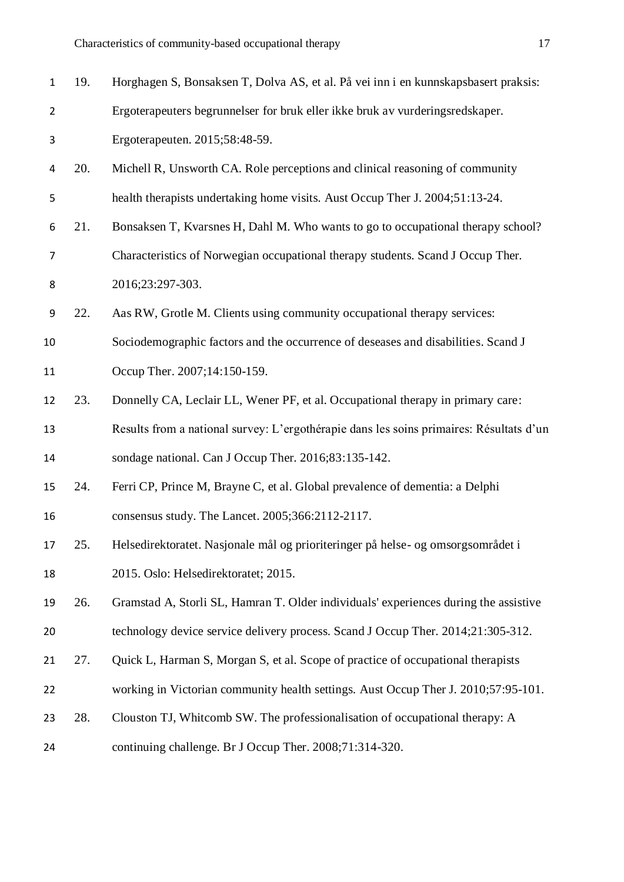| $\mathbf{1}$   | 19. | Horghagen S, Bonsaksen T, Dolva AS, et al. På vei inn i en kunnskapsbasert praksis:     |
|----------------|-----|-----------------------------------------------------------------------------------------|
| $\overline{2}$ |     | Ergoterapeuters begrunnelser for bruk eller ikke bruk av vurderingsredskaper.           |
| 3              |     | Ergoterapeuten. 2015;58:48-59.                                                          |
| 4              | 20. | Michell R, Unsworth CA. Role perceptions and clinical reasoning of community            |
| 5              |     | health therapists undertaking home visits. Aust Occup Ther J. 2004;51:13-24.            |
| 6              | 21. | Bonsaksen T, Kvarsnes H, Dahl M. Who wants to go to occupational therapy school?        |
| 7              |     | Characteristics of Norwegian occupational therapy students. Scand J Occup Ther.         |
| 8              |     | 2016;23:297-303.                                                                        |
| 9              | 22. | Aas RW, Grotle M. Clients using community occupational therapy services:                |
| 10             |     | Sociodemographic factors and the occurrence of deseases and disabilities. Scand J       |
| 11             |     | Occup Ther. 2007;14:150-159.                                                            |
| 12             | 23. | Donnelly CA, Leclair LL, Wener PF, et al. Occupational therapy in primary care:         |
| 13             |     | Results from a national survey: L'ergothérapie dans les soins primaires: Résultats d'un |
| 14             |     | sondage national. Can J Occup Ther. 2016;83:135-142.                                    |
| 15             | 24. | Ferri CP, Prince M, Brayne C, et al. Global prevalence of dementia: a Delphi            |
| 16             |     | consensus study. The Lancet. 2005;366:2112-2117.                                        |
| 17             | 25. | Helsedirektoratet. Nasjonale mål og prioriteringer på helse- og omsorgsområdet i        |
| 18             |     | 2015. Oslo: Helsedirektoratet; 2015.                                                    |
| 19             | 26. | Gramstad A, Storli SL, Hamran T. Older individuals' experiences during the assistive    |
| 20             |     | technology device service delivery process. Scand J Occup Ther. 2014;21:305-312.        |
| 21             | 27. | Quick L, Harman S, Morgan S, et al. Scope of practice of occupational therapists        |
| 22             |     | working in Victorian community health settings. Aust Occup Ther J. 2010;57:95-101.      |
| 23             | 28. | Clouston TJ, Whitcomb SW. The professionalisation of occupational therapy: A            |
| 24             |     | continuing challenge. Br J Occup Ther. 2008;71:314-320.                                 |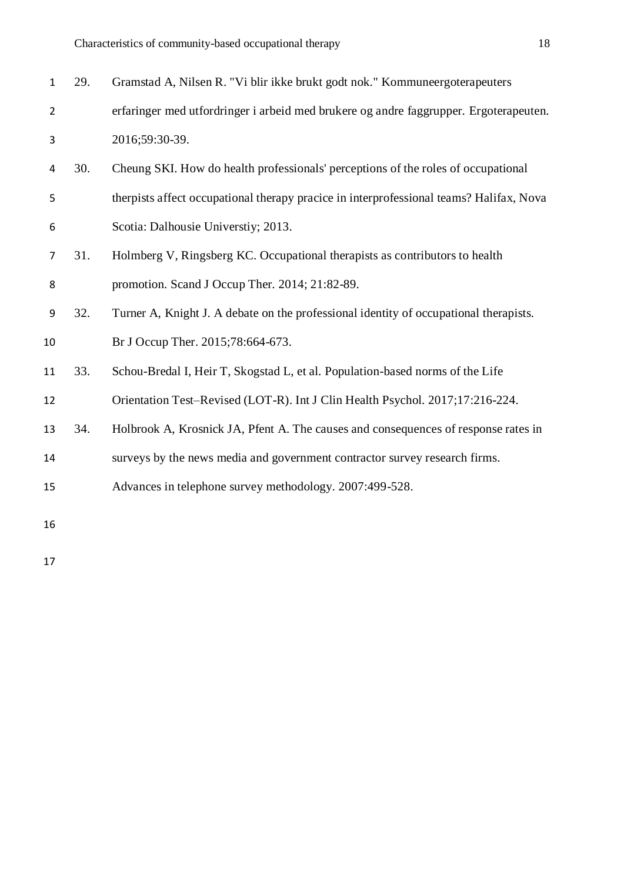| $\mathbf{1}$   | 29. | Gramstad A, Nilsen R. "Vi blir ikke brukt godt nok." Kommuneergoterapeuters             |
|----------------|-----|-----------------------------------------------------------------------------------------|
| $\overline{2}$ |     | erfaringer med utfordringer i arbeid med brukere og andre faggrupper. Ergoterapeuten.   |
| 3              |     | 2016;59:30-39.                                                                          |
| 4              | 30. | Cheung SKI. How do health professionals' perceptions of the roles of occupational       |
| 5              |     | therpists affect occupational therapy pracice in interprofessional teams? Halifax, Nova |
| 6              |     | Scotia: Dalhousie Universtiy; 2013.                                                     |
| $\overline{7}$ | 31. | Holmberg V, Ringsberg KC. Occupational therapists as contributors to health             |
| 8              |     | promotion. Scand J Occup Ther. 2014; 21:82-89.                                          |
| 9              | 32. | Turner A, Knight J. A debate on the professional identity of occupational therapists.   |
| 10             |     | Br J Occup Ther. 2015;78:664-673.                                                       |
| 11             | 33. | Schou-Bredal I, Heir T, Skogstad L, et al. Population-based norms of the Life           |
| 12             |     | Orientation Test-Revised (LOT-R). Int J Clin Health Psychol. 2017;17:216-224.           |
| 13             | 34. | Holbrook A, Krosnick JA, Pfent A. The causes and consequences of response rates in      |
| 14             |     | surveys by the news media and government contractor survey research firms.              |
| 15             |     | Advances in telephone survey methodology. 2007:499-528.                                 |
| 16             |     |                                                                                         |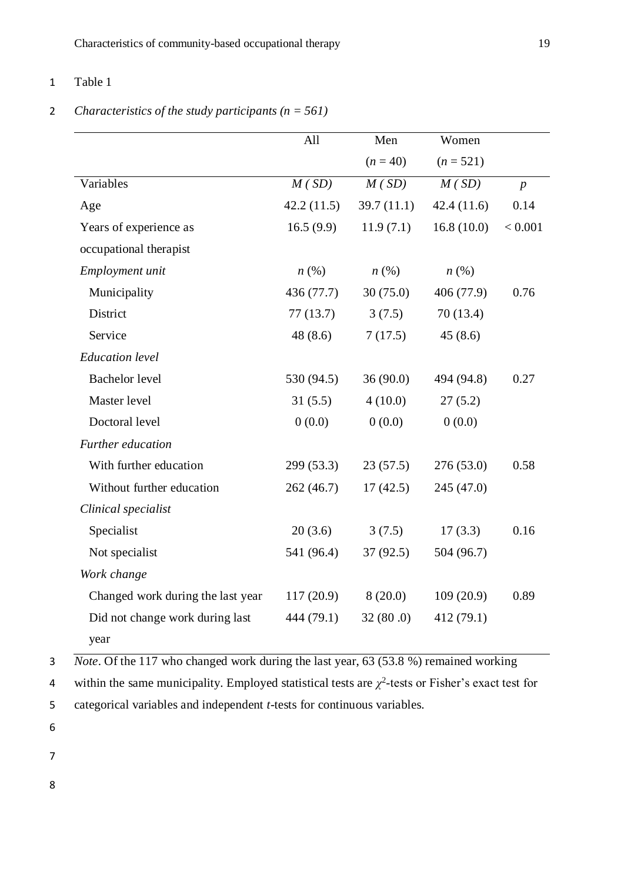### 1 Table 1

## 2 *Characteristics of the study participants (n = 561)*

|                                   | All                | Men                | Women              |                  |
|-----------------------------------|--------------------|--------------------|--------------------|------------------|
|                                   |                    | $(n = 40)$         | $(n = 521)$        |                  |
| Variables                         | M(SD)              | M(SD)              | M(SD)              | $\boldsymbol{p}$ |
| Age                               | 42.2(11.5)         | 39.7(11.1)         | 42.4(11.6)         | 0.14             |
| Years of experience as            | 16.5(9.9)          | 11.9(7.1)          | 16.8(10.0)         | < 0.001          |
| occupational therapist            |                    |                    |                    |                  |
| Employment unit                   | $n\left(\%\right)$ | $n\left(\%\right)$ | $n\left(\%\right)$ |                  |
| Municipality                      | 436 (77.7)         | 30(75.0)           | 406 (77.9)         | 0.76             |
| District                          | 77(13.7)           | 3(7.5)             | 70(13.4)           |                  |
| Service                           | 48(8.6)            | 7(17.5)            | 45(8.6)            |                  |
| <b>Education</b> level            |                    |                    |                    |                  |
| <b>Bachelor</b> level             | 530 (94.5)         | 36(90.0)           | 494 (94.8)         | 0.27             |
| Master level                      | 31(5.5)            | 4(10.0)            | 27(5.2)            |                  |
| Doctoral level                    | 0(0.0)             | 0(0.0)             | 0(0.0)             |                  |
| Further education                 |                    |                    |                    |                  |
| With further education            | 299 (53.3)         | 23(57.5)           | 276(53.0)          | 0.58             |
| Without further education         | 262(46.7)          | 17(42.5)           | 245 (47.0)         |                  |
| Clinical specialist               |                    |                    |                    |                  |
| Specialist                        | 20(3.6)            | 3(7.5)             | 17(3.3)            | 0.16             |
| Not specialist                    | 541 (96.4)         | 37(92.5)           | 504 (96.7)         |                  |
| Work change                       |                    |                    |                    |                  |
| Changed work during the last year | 117(20.9)          | 8(20.0)            | 109(20.9)          | 0.89             |
| Did not change work during last   | 444 (79.1)         | 32(80.0)           | 412 (79.1)         |                  |
| year                              |                    |                    |                    |                  |

3 *Note*. Of the 117 who changed work during the last year, 63 (53.8 %) remained working

4 within the same municipality. Employed statistical tests are  $\chi^2$ -tests or Fisher's exact test for

5 categorical variables and independent *t*-tests for continuous variables.

- 6
- 
- 7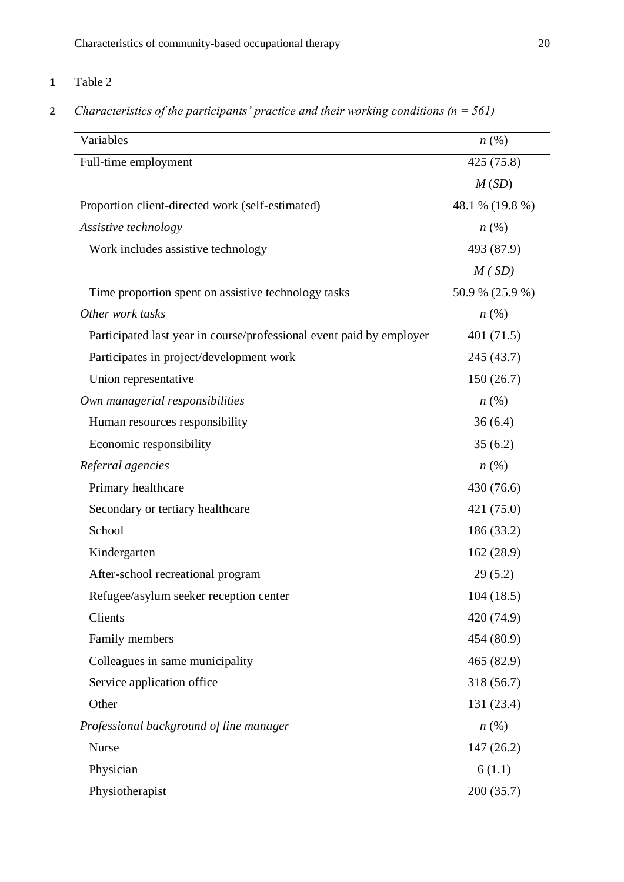# 1 Table 2

## 2 *Characteristics of the participants' practice and their working conditions (n = 561)*

| 425 (75.8)<br>Full-time employment<br>M(SD)<br>48.1 % (19.8 %)<br>Proportion client-directed work (self-estimated)<br>$n\left(\%\right)$<br>Work includes assistive technology<br>493 (87.9)<br>M(SD)<br>50.9 % (25.9 %)<br>Time proportion spent on assistive technology tasks<br>Other work tasks<br>$n\left(\%\right)$<br>Participated last year in course/professional event paid by employer<br>401 (71.5)<br>Participates in project/development work<br>245 (43.7)<br>150(26.7)<br>Union representative<br>Own managerial responsibilities<br>$n\left(\%\right)$<br>Human resources responsibility<br>36(6.4)<br>Economic responsibility<br>35(6.2)<br>$n\left(\%\right)$<br>Primary healthcare<br>430 (76.6)<br>421 (75.0)<br>Secondary or tertiary healthcare<br>School<br>186 (33.2)<br>Kindergarten<br>162(28.9)<br>After-school recreational program<br>29(5.2)<br>104(18.5)<br>Refugee/asylum seeker reception center<br>Clients<br>420 (74.9)<br>Family members<br>454 (80.9)<br>Colleagues in same municipality<br>465 (82.9)<br>Service application office<br>318 (56.7)<br>Other<br>131 (23.4)<br>n(%)<br>Nurse<br>147(26.2)<br>Physician<br>6(1.1)<br>200(35.7)<br>Physiotherapist | Variables                               | n(%) |
|------------------------------------------------------------------------------------------------------------------------------------------------------------------------------------------------------------------------------------------------------------------------------------------------------------------------------------------------------------------------------------------------------------------------------------------------------------------------------------------------------------------------------------------------------------------------------------------------------------------------------------------------------------------------------------------------------------------------------------------------------------------------------------------------------------------------------------------------------------------------------------------------------------------------------------------------------------------------------------------------------------------------------------------------------------------------------------------------------------------------------------------------------------------------------------------------------|-----------------------------------------|------|
|                                                                                                                                                                                                                                                                                                                                                                                                                                                                                                                                                                                                                                                                                                                                                                                                                                                                                                                                                                                                                                                                                                                                                                                                      |                                         |      |
|                                                                                                                                                                                                                                                                                                                                                                                                                                                                                                                                                                                                                                                                                                                                                                                                                                                                                                                                                                                                                                                                                                                                                                                                      |                                         |      |
|                                                                                                                                                                                                                                                                                                                                                                                                                                                                                                                                                                                                                                                                                                                                                                                                                                                                                                                                                                                                                                                                                                                                                                                                      |                                         |      |
|                                                                                                                                                                                                                                                                                                                                                                                                                                                                                                                                                                                                                                                                                                                                                                                                                                                                                                                                                                                                                                                                                                                                                                                                      |                                         |      |
|                                                                                                                                                                                                                                                                                                                                                                                                                                                                                                                                                                                                                                                                                                                                                                                                                                                                                                                                                                                                                                                                                                                                                                                                      | Assistive technology                    |      |
|                                                                                                                                                                                                                                                                                                                                                                                                                                                                                                                                                                                                                                                                                                                                                                                                                                                                                                                                                                                                                                                                                                                                                                                                      |                                         |      |
|                                                                                                                                                                                                                                                                                                                                                                                                                                                                                                                                                                                                                                                                                                                                                                                                                                                                                                                                                                                                                                                                                                                                                                                                      |                                         |      |
|                                                                                                                                                                                                                                                                                                                                                                                                                                                                                                                                                                                                                                                                                                                                                                                                                                                                                                                                                                                                                                                                                                                                                                                                      |                                         |      |
|                                                                                                                                                                                                                                                                                                                                                                                                                                                                                                                                                                                                                                                                                                                                                                                                                                                                                                                                                                                                                                                                                                                                                                                                      |                                         |      |
|                                                                                                                                                                                                                                                                                                                                                                                                                                                                                                                                                                                                                                                                                                                                                                                                                                                                                                                                                                                                                                                                                                                                                                                                      |                                         |      |
|                                                                                                                                                                                                                                                                                                                                                                                                                                                                                                                                                                                                                                                                                                                                                                                                                                                                                                                                                                                                                                                                                                                                                                                                      |                                         |      |
|                                                                                                                                                                                                                                                                                                                                                                                                                                                                                                                                                                                                                                                                                                                                                                                                                                                                                                                                                                                                                                                                                                                                                                                                      |                                         |      |
|                                                                                                                                                                                                                                                                                                                                                                                                                                                                                                                                                                                                                                                                                                                                                                                                                                                                                                                                                                                                                                                                                                                                                                                                      |                                         |      |
|                                                                                                                                                                                                                                                                                                                                                                                                                                                                                                                                                                                                                                                                                                                                                                                                                                                                                                                                                                                                                                                                                                                                                                                                      |                                         |      |
|                                                                                                                                                                                                                                                                                                                                                                                                                                                                                                                                                                                                                                                                                                                                                                                                                                                                                                                                                                                                                                                                                                                                                                                                      |                                         |      |
|                                                                                                                                                                                                                                                                                                                                                                                                                                                                                                                                                                                                                                                                                                                                                                                                                                                                                                                                                                                                                                                                                                                                                                                                      | Referral agencies                       |      |
|                                                                                                                                                                                                                                                                                                                                                                                                                                                                                                                                                                                                                                                                                                                                                                                                                                                                                                                                                                                                                                                                                                                                                                                                      |                                         |      |
|                                                                                                                                                                                                                                                                                                                                                                                                                                                                                                                                                                                                                                                                                                                                                                                                                                                                                                                                                                                                                                                                                                                                                                                                      |                                         |      |
|                                                                                                                                                                                                                                                                                                                                                                                                                                                                                                                                                                                                                                                                                                                                                                                                                                                                                                                                                                                                                                                                                                                                                                                                      |                                         |      |
|                                                                                                                                                                                                                                                                                                                                                                                                                                                                                                                                                                                                                                                                                                                                                                                                                                                                                                                                                                                                                                                                                                                                                                                                      |                                         |      |
|                                                                                                                                                                                                                                                                                                                                                                                                                                                                                                                                                                                                                                                                                                                                                                                                                                                                                                                                                                                                                                                                                                                                                                                                      |                                         |      |
|                                                                                                                                                                                                                                                                                                                                                                                                                                                                                                                                                                                                                                                                                                                                                                                                                                                                                                                                                                                                                                                                                                                                                                                                      |                                         |      |
|                                                                                                                                                                                                                                                                                                                                                                                                                                                                                                                                                                                                                                                                                                                                                                                                                                                                                                                                                                                                                                                                                                                                                                                                      |                                         |      |
|                                                                                                                                                                                                                                                                                                                                                                                                                                                                                                                                                                                                                                                                                                                                                                                                                                                                                                                                                                                                                                                                                                                                                                                                      |                                         |      |
|                                                                                                                                                                                                                                                                                                                                                                                                                                                                                                                                                                                                                                                                                                                                                                                                                                                                                                                                                                                                                                                                                                                                                                                                      |                                         |      |
|                                                                                                                                                                                                                                                                                                                                                                                                                                                                                                                                                                                                                                                                                                                                                                                                                                                                                                                                                                                                                                                                                                                                                                                                      |                                         |      |
|                                                                                                                                                                                                                                                                                                                                                                                                                                                                                                                                                                                                                                                                                                                                                                                                                                                                                                                                                                                                                                                                                                                                                                                                      |                                         |      |
|                                                                                                                                                                                                                                                                                                                                                                                                                                                                                                                                                                                                                                                                                                                                                                                                                                                                                                                                                                                                                                                                                                                                                                                                      | Professional background of line manager |      |
|                                                                                                                                                                                                                                                                                                                                                                                                                                                                                                                                                                                                                                                                                                                                                                                                                                                                                                                                                                                                                                                                                                                                                                                                      |                                         |      |
|                                                                                                                                                                                                                                                                                                                                                                                                                                                                                                                                                                                                                                                                                                                                                                                                                                                                                                                                                                                                                                                                                                                                                                                                      |                                         |      |
|                                                                                                                                                                                                                                                                                                                                                                                                                                                                                                                                                                                                                                                                                                                                                                                                                                                                                                                                                                                                                                                                                                                                                                                                      |                                         |      |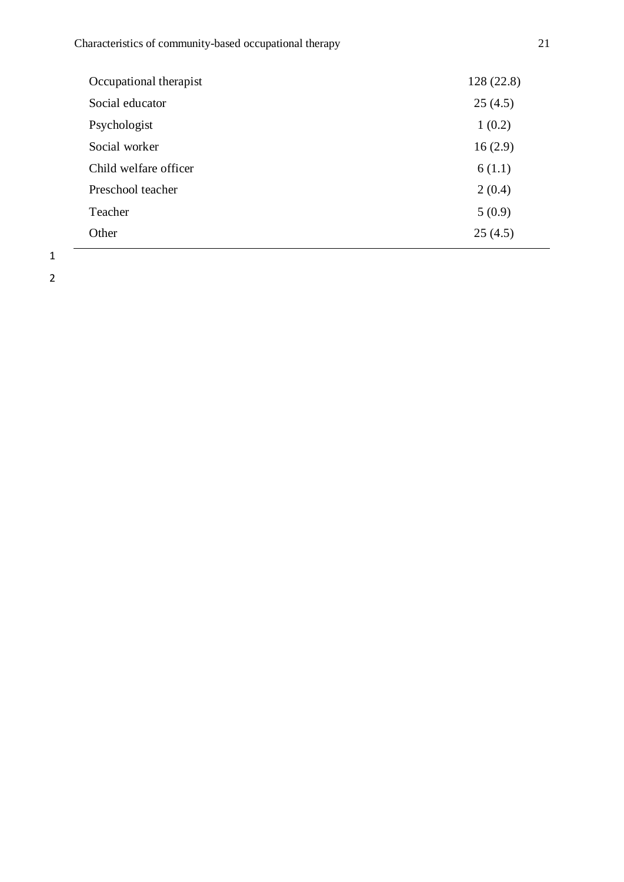| Occupational therapist | 128(22.8) |
|------------------------|-----------|
| Social educator        | 25(4.5)   |
| Psychologist           | 1(0.2)    |
| Social worker          | 16(2.9)   |
| Child welfare officer  | 6(1.1)    |
| Preschool teacher      | 2(0.4)    |
| Teacher                | 5(0.9)    |
| Other                  | 25(4.5)   |
|                        |           |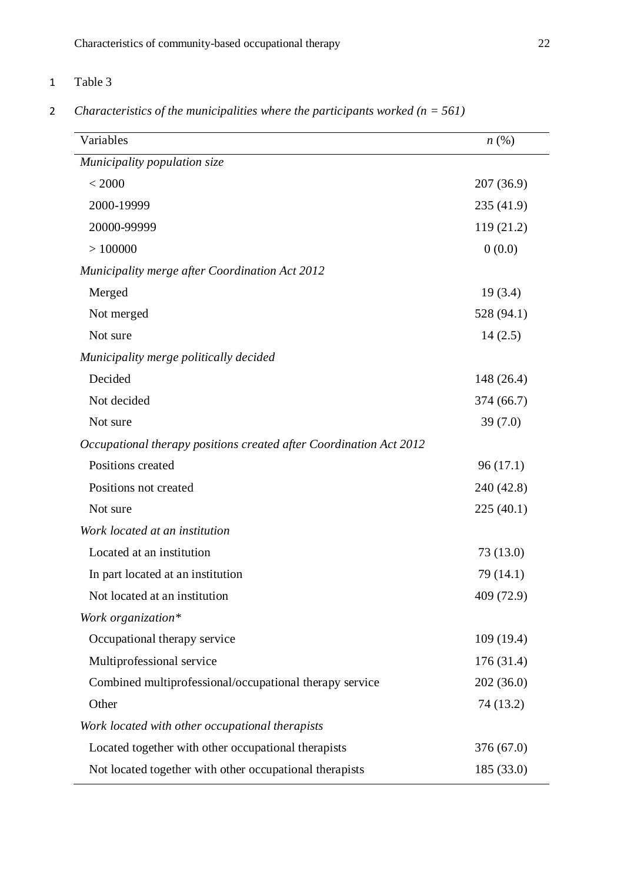## 1 Table 3

2 *Characteristics of the municipalities where the participants worked (n = 561)*

| Variables                                                          | $n\left(\%\right)$ |
|--------------------------------------------------------------------|--------------------|
| Municipality population size                                       |                    |
| < 2000                                                             | 207(36.9)          |
| 2000-19999                                                         | 235 (41.9)         |
| 20000-99999                                                        | 119(21.2)          |
| >100000                                                            | 0(0.0)             |
| <b>Municipality merge after Coordination Act 2012</b>              |                    |
| Merged                                                             | 19(3.4)            |
| Not merged                                                         | 528 (94.1)         |
| Not sure                                                           | 14(2.5)            |
| Municipality merge politically decided                             |                    |
| Decided                                                            | 148(26.4)          |
| Not decided                                                        | 374 (66.7)         |
| Not sure                                                           | 39(7.0)            |
| Occupational therapy positions created after Coordination Act 2012 |                    |
| Positions created                                                  | 96(17.1)           |
| Positions not created                                              | 240 (42.8)         |
| Not sure                                                           | 225(40.1)          |
| Work located at an institution                                     |                    |
| Located at an institution                                          | 73 (13.0)          |
| In part located at an institution                                  | 79 (14.1)          |
| Not located at an institution                                      | 409 (72.9)         |
| Work organization*                                                 |                    |
| Occupational therapy service                                       | 109(19.4)          |
| Multiprofessional service                                          | 176(31.4)          |
| Combined multiprofessional/occupational therapy service            | 202(36.0)          |
| Other                                                              | 74 (13.2)          |
| Work located with other occupational therapists                    |                    |
| Located together with other occupational therapists                | 376 (67.0)         |
| Not located together with other occupational therapists            | 185 (33.0)         |
|                                                                    |                    |